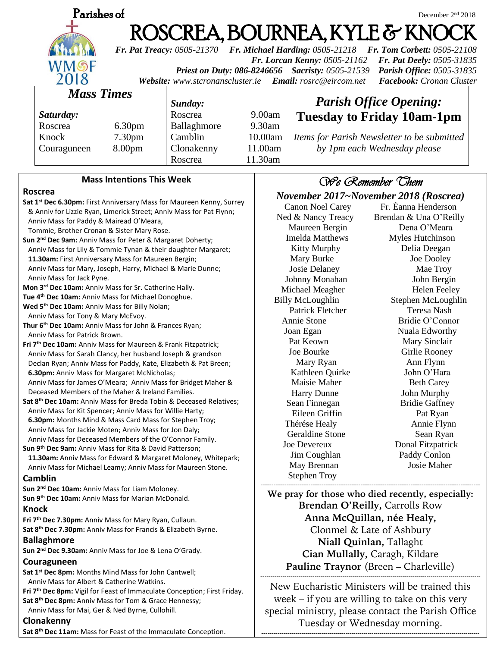| Parishes of                                                                                                                                                                                                                                                  |                                                                                 |                    |             |                                                    |                                                  | December 2 <sup>nd</sup> 2018               |  |
|--------------------------------------------------------------------------------------------------------------------------------------------------------------------------------------------------------------------------------------------------------------|---------------------------------------------------------------------------------|--------------------|-------------|----------------------------------------------------|--------------------------------------------------|---------------------------------------------|--|
| ROSCREA, BOURNEA, KYLE & KNOCK<br>Fr. Pat Treacy: 0505-21370 Fr. Michael Harding: 0505-21218 Fr. Tom Corbett: 0505-21108                                                                                                                                     |                                                                                 |                    |             |                                                    |                                                  |                                             |  |
| Fr. Lorcan Kenny: 0505-21162<br>Fr. Pat Deely: 0505-31835<br>WMSF<br>Priest on Duty: 086-8246656 Sacristy: 0505-21539<br><b>Parish Office: 0505-31835</b><br>2018<br>Facebook: Cronan Cluster<br>Website: www.stcronanscluster.ie<br>Email: rosrc@eircom.net |                                                                                 |                    |             |                                                    |                                                  |                                             |  |
|                                                                                                                                                                                                                                                              | <b>Mass Times</b><br>Sunday:                                                    |                    |             |                                                    | <b>Parish Office Opening:</b>                    |                                             |  |
|                                                                                                                                                                                                                                                              | Saturday:                                                                       |                    | Roscrea     | 9.00am                                             |                                                  |                                             |  |
|                                                                                                                                                                                                                                                              | Roscrea                                                                         | 6.30 <sub>pm</sub> | Ballaghmore | 9.30am                                             |                                                  | <b>Tuesday to Friday 10am-1pm</b>           |  |
|                                                                                                                                                                                                                                                              | Knock                                                                           | 7.30pm             | Camblin     | 10.00am                                            |                                                  | Items for Parish Newsletter to be submitted |  |
|                                                                                                                                                                                                                                                              | Couraguneen                                                                     | 8.00pm             | Clonakenny  | 11.00am                                            |                                                  | by 1pm each Wednesday please                |  |
|                                                                                                                                                                                                                                                              |                                                                                 |                    | Roscrea     | 11.30am                                            |                                                  |                                             |  |
| <b>Mass Intentions This Week</b><br>We Remember Chem                                                                                                                                                                                                         |                                                                                 |                    |             |                                                    |                                                  |                                             |  |
| Roscrea                                                                                                                                                                                                                                                      |                                                                                 |                    |             |                                                    | November 2017~November 2018 (Roscrea)            |                                             |  |
| Sat 1st Dec 6.30pm: First Anniversary Mass for Maureen Kenny, Surrey                                                                                                                                                                                         |                                                                                 |                    |             |                                                    | Fr. Éanna Henderson<br><b>Canon Noel Carey</b>   |                                             |  |
| & Anniv for Lizzie Ryan, Limerick Street; Anniv Mass for Pat Flynn;                                                                                                                                                                                          |                                                                                 |                    |             |                                                    | Ned & Nancy Treacy<br>Brendan & Una O'Reilly     |                                             |  |
| Anniv Mass for Paddy & Mairead O'Meara,                                                                                                                                                                                                                      |                                                                                 |                    |             |                                                    | Maureen Bergin                                   | Dena O'Meara                                |  |
| Tommie, Brother Cronan & Sister Mary Rose.<br>Sun 2 <sup>nd</sup> Dec 9am: Anniv Mass for Peter & Margaret Doherty;                                                                                                                                          |                                                                                 |                    |             |                                                    | <b>Imelda Matthews</b>                           | Myles Hutchinson                            |  |
| Anniv Mass for Lily & Tommie Tynan & their daughter Margaret;                                                                                                                                                                                                |                                                                                 |                    |             |                                                    | <b>Kitty Murphy</b>                              | Delia Deegan                                |  |
| 11.30am: First Anniversary Mass for Maureen Bergin;                                                                                                                                                                                                          |                                                                                 |                    |             |                                                    | Mary Burke                                       | Joe Dooley                                  |  |
| Anniv Mass for Mary, Joseph, Harry, Michael & Marie Dunne;                                                                                                                                                                                                   |                                                                                 |                    |             |                                                    | Josie Delaney                                    | Mae Troy                                    |  |
| Anniv Mass for Jack Pyne.<br>Mon 3rd Dec 10am: Anniv Mass for Sr. Catherine Hally.                                                                                                                                                                           |                                                                                 |                    |             |                                                    | Johnny Monahan                                   | John Bergin                                 |  |
| Tue 4 <sup>th</sup> Dec 10am: Anniv Mass for Michael Donoghue.                                                                                                                                                                                               |                                                                                 |                    |             |                                                    | Michael Meagher                                  | <b>Helen Feeley</b>                         |  |
| Wed 5 <sup>th</sup> Dec 10am: Anniv Mass for Billy Nolan;                                                                                                                                                                                                    |                                                                                 |                    |             |                                                    | <b>Billy McLoughlin</b><br>Patrick Fletcher      | Stephen McLoughlin<br>Teresa Nash           |  |
| Anniv Mass for Tony & Mary McEvoy.                                                                                                                                                                                                                           |                                                                                 |                    |             |                                                    | Annie Stone                                      | Bridie O'Connor                             |  |
| Thur 6 <sup>th</sup> Dec 10am: Anniv Mass for John & Frances Ryan;                                                                                                                                                                                           |                                                                                 |                    |             | Joan Egan                                          | Nuala Edworthy                                   |                                             |  |
| Anniy Mass for Patrick Brown.<br>Fri 7 <sup>th</sup> Dec 10am: Anniv Mass for Maureen & Frank Fitzpatrick;                                                                                                                                                   |                                                                                 |                    |             | Pat Keown                                          | Mary Sinclair                                    |                                             |  |
| Anniv Mass for Sarah Clancy, her husband Joseph & grandson                                                                                                                                                                                                   |                                                                                 |                    |             | Joe Bourke                                         | Girlie Rooney                                    |                                             |  |
| Declan Ryan; Anniv Mass for Paddy, Kate, Elizabeth & Pat Breen;                                                                                                                                                                                              |                                                                                 |                    |             | Mary Ryan                                          | Ann Flynn                                        |                                             |  |
| 6.30pm: Anniv Mass for Margaret McNicholas;                                                                                                                                                                                                                  |                                                                                 |                    |             | Kathleen Quirke                                    | John O'Hara                                      |                                             |  |
| Anniv Mass for James O'Meara; Anniv Mass for Bridget Maher &                                                                                                                                                                                                 |                                                                                 |                    |             | Maisie Maher                                       | <b>Beth Carey</b>                                |                                             |  |
| Deceased Members of the Maher & Ireland Families.<br>Sat 8th Dec 10am: Anniv Mass for Breda Tobin & Deceased Relatives;                                                                                                                                      |                                                                                 |                    |             | Harry Dunne                                        | John Murphy                                      |                                             |  |
| Anniv Mass for Kit Spencer; Anniv Mass for Willie Harty;                                                                                                                                                                                                     |                                                                                 |                    |             | Sean Finnegan<br>Eileen Griffin                    | <b>Bridie Gaffney</b><br>Pat Ryan                |                                             |  |
| 6.30pm: Months Mind & Mass Card Mass for Stephen Troy;                                                                                                                                                                                                       |                                                                                 |                    |             | Thérése Healy                                      | Annie Flynn                                      |                                             |  |
| Anniv Mass for Jackie Moten; Anniv Mass for Jon Daly;                                                                                                                                                                                                        |                                                                                 |                    |             |                                                    | Geraldine Stone                                  | Sean Ryan                                   |  |
| Anniv Mass for Deceased Members of the O'Connor Family.<br>Sun 9 <sup>th</sup> Dec 9am: Anniv Mass for Rita & David Patterson;                                                                                                                               |                                                                                 |                    |             |                                                    | Joe Devereux                                     | Donal Fitzpatrick                           |  |
| 11.30am: Anniv Mass for Edward & Margaret Moloney, Whitepark;                                                                                                                                                                                                |                                                                                 |                    |             | Jim Coughlan                                       | Paddy Conlon                                     |                                             |  |
|                                                                                                                                                                                                                                                              | Anniv Mass for Michael Leamy; Anniv Mass for Maureen Stone.                     |                    |             |                                                    | May Brennan                                      | Josie Maher                                 |  |
| Camblin                                                                                                                                                                                                                                                      |                                                                                 |                    |             |                                                    | <b>Stephen Troy</b>                              |                                             |  |
| Sun 2 <sup>nd</sup> Dec 10am: Anniv Mass for Liam Moloney.                                                                                                                                                                                                   |                                                                                 |                    |             |                                                    | We pray for those who died recently, especially: |                                             |  |
| Sun 9th Dec 10am: Anniv Mass for Marian McDonald.<br><b>Knock</b>                                                                                                                                                                                            |                                                                                 |                    |             |                                                    | Brendan O'Reilly, Carrolls Row                   |                                             |  |
| Fri 7 <sup>th</sup> Dec 7.30pm: Anniv Mass for Mary Ryan, Cullaun.                                                                                                                                                                                           |                                                                                 |                    |             | Anna McQuillan, née Healy,                         |                                                  |                                             |  |
| Sat 8th Dec 7.30pm: Anniv Mass for Francis & Elizabeth Byrne.                                                                                                                                                                                                |                                                                                 |                    |             | Clonmel & Late of Ashbury                          |                                                  |                                             |  |
| <b>Ballaghmore</b>                                                                                                                                                                                                                                           |                                                                                 |                    |             | Niall Quinlan, Tallaght                            |                                                  |                                             |  |
| Sun 2 <sup>nd</sup> Dec 9.30am: Anniv Mass for Joe & Lena O'Grady.                                                                                                                                                                                           |                                                                                 |                    |             | Cian Mullally, Caragh, Kildare                     |                                                  |                                             |  |
|                                                                                                                                                                                                                                                              | Couraguneen<br>Sat 1 <sup>st</sup> Dec 8pm: Months Mind Mass for John Cantwell; |                    |             |                                                    | Pauline Traynor (Breen – Charleville)            |                                             |  |
| Anniv Mass for Albert & Catherine Watkins.                                                                                                                                                                                                                   |                                                                                 |                    |             |                                                    |                                                  |                                             |  |
| Fri 7th Dec 8pm: Vigil for Feast of Immaculate Conception; First Friday.                                                                                                                                                                                     |                                                                                 |                    |             | New Eucharistic Ministers will be trained this     |                                                  |                                             |  |
| Sat 8th Dec 8pm: Anniv Mass for Tom & Grace Hennessy;                                                                                                                                                                                                        |                                                                                 |                    |             | week $-$ if you are willing to take on this very   |                                                  |                                             |  |
| Anniv Mass for Mai, Ger & Ned Byrne, Cullohill.                                                                                                                                                                                                              |                                                                                 |                    |             | special ministry, please contact the Parish Office |                                                  |                                             |  |
| Clonakenny                                                                                                                                                                                                                                                   |                                                                                 |                    |             |                                                    | Tuesday or Wednesday morning.                    |                                             |  |
| Sat 8th Dec 11am: Mass for Feast of the Immaculate Conception.                                                                                                                                                                                               |                                                                                 |                    |             |                                                    |                                                  |                                             |  |